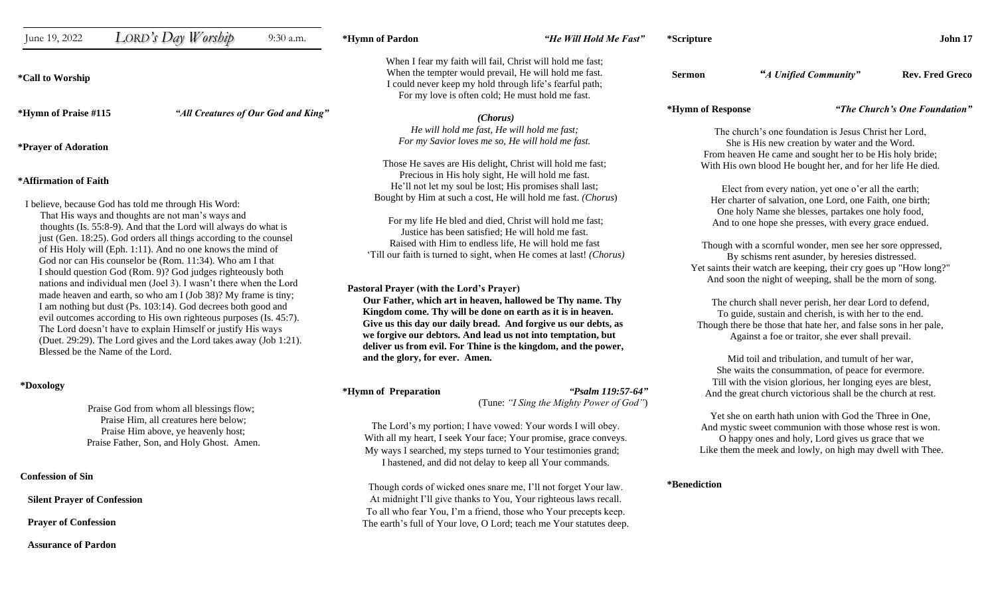| June 19, 2022                                                                                                                                                                                                                                                                                                                                                                                                                                                                                                                                                                                                                                                                                                                                                                                                                                                                                                             | LORD's Day Worship | 9:30 a.m.                           | *Hymn of Pardon                                                                                                                                                                                                                                                 | "He Will Hold Me Fast"                                                                                                                                                                                                                                                                                                                                                                                                                                                                                                                                                                                                                                                                                                                                                                                                     | *Scripture                                                                                                                                                                                                                                                                                                                                                                                                                                                                                                                                                                                                                                                                                                                                                                                                                                            |                                                                                                                                                                                  | John 17                       |
|---------------------------------------------------------------------------------------------------------------------------------------------------------------------------------------------------------------------------------------------------------------------------------------------------------------------------------------------------------------------------------------------------------------------------------------------------------------------------------------------------------------------------------------------------------------------------------------------------------------------------------------------------------------------------------------------------------------------------------------------------------------------------------------------------------------------------------------------------------------------------------------------------------------------------|--------------------|-------------------------------------|-----------------------------------------------------------------------------------------------------------------------------------------------------------------------------------------------------------------------------------------------------------------|----------------------------------------------------------------------------------------------------------------------------------------------------------------------------------------------------------------------------------------------------------------------------------------------------------------------------------------------------------------------------------------------------------------------------------------------------------------------------------------------------------------------------------------------------------------------------------------------------------------------------------------------------------------------------------------------------------------------------------------------------------------------------------------------------------------------------|-------------------------------------------------------------------------------------------------------------------------------------------------------------------------------------------------------------------------------------------------------------------------------------------------------------------------------------------------------------------------------------------------------------------------------------------------------------------------------------------------------------------------------------------------------------------------------------------------------------------------------------------------------------------------------------------------------------------------------------------------------------------------------------------------------------------------------------------------------|----------------------------------------------------------------------------------------------------------------------------------------------------------------------------------|-------------------------------|
| *Call to Worship                                                                                                                                                                                                                                                                                                                                                                                                                                                                                                                                                                                                                                                                                                                                                                                                                                                                                                          |                    |                                     |                                                                                                                                                                                                                                                                 | When I fear my faith will fail, Christ will hold me fast;<br>When the tempter would prevail, He will hold me fast.<br>I could never keep my hold through life's fearful path;<br>For my love is often cold; He must hold me fast.                                                                                                                                                                                                                                                                                                                                                                                                                                                                                                                                                                                          | <b>Sermon</b>                                                                                                                                                                                                                                                                                                                                                                                                                                                                                                                                                                                                                                                                                                                                                                                                                                         | "A Unified Community"                                                                                                                                                            | <b>Rev. Fred Greco</b>        |
| *Hymn of Praise #115                                                                                                                                                                                                                                                                                                                                                                                                                                                                                                                                                                                                                                                                                                                                                                                                                                                                                                      |                    | "All Creatures of Our God and King" |                                                                                                                                                                                                                                                                 | (Chorus)                                                                                                                                                                                                                                                                                                                                                                                                                                                                                                                                                                                                                                                                                                                                                                                                                   | *Hymn of Response                                                                                                                                                                                                                                                                                                                                                                                                                                                                                                                                                                                                                                                                                                                                                                                                                                     |                                                                                                                                                                                  | "The Church's One Foundation" |
| <i>*Prayer of Adoration</i>                                                                                                                                                                                                                                                                                                                                                                                                                                                                                                                                                                                                                                                                                                                                                                                                                                                                                               |                    |                                     |                                                                                                                                                                                                                                                                 | He will hold me fast, He will hold me fast;<br>For my Savior loves me so, He will hold me fast.                                                                                                                                                                                                                                                                                                                                                                                                                                                                                                                                                                                                                                                                                                                            | The church's one foundation is Jesus Christ her Lord,<br>She is His new creation by water and the Word.<br>From heaven He came and sought her to be His holy bride;                                                                                                                                                                                                                                                                                                                                                                                                                                                                                                                                                                                                                                                                                   |                                                                                                                                                                                  |                               |
| *Affirmation of Faith<br>I believe, because God has told me through His Word:<br>That His ways and thoughts are not man's ways and<br>thoughts (Is. 55:8-9). And that the Lord will always do what is<br>just (Gen. 18:25). God orders all things according to the counsel<br>of His Holy will (Eph. 1:11). And no one knows the mind of<br>God nor can His counselor be (Rom. 11:34). Who am I that<br>I should question God (Rom. 9)? God judges righteously both<br>nations and individual men (Joel 3). I wasn't there when the Lord<br>made heaven and earth, so who am I (Job 38)? My frame is tiny;<br>I am nothing but dust (Ps. 103:14). God decrees both good and<br>evil outcomes according to His own righteous purposes (Is. 45:7).<br>The Lord doesn't have to explain Himself or justify His ways<br>(Duet. 29:29). The Lord gives and the Lord takes away (Job 1:21).<br>Blessed be the Name of the Lord. |                    |                                     | Pastoral Prayer (with the Lord's Prayer)<br>and the glory, for ever. Amen.                                                                                                                                                                                      | Those He saves are His delight, Christ will hold me fast;<br>Precious in His holy sight, He will hold me fast.<br>He'll not let my soul be lost; His promises shall last;<br>Bought by Him at such a cost, He will hold me fast. (Chorus)<br>For my life He bled and died, Christ will hold me fast;<br>Justice has been satisfied; He will hold me fast.<br>Raised with Him to endless life, He will hold me fast<br>'Till our faith is turned to sight, when He comes at last! (Chorus)<br>Our Father, which art in heaven, hallowed be Thy name. Thy<br>Kingdom come. Thy will be done on earth as it is in heaven.<br>Give us this day our daily bread. And forgive us our debts, as<br>we forgive our debtors. And lead us not into temptation, but<br>deliver us from evil. For Thine is the kingdom, and the power, | With His own blood He bought her, and for her life He died.<br>Elect from every nation, yet one o'er all the earth;<br>Her charter of salvation, one Lord, one Faith, one birth;<br>One holy Name she blesses, partakes one holy food,<br>And to one hope she presses, with every grace endued.<br>Though with a scornful wonder, men see her sore oppressed,<br>By schisms rent asunder, by heresies distressed.<br>Yet saints their watch are keeping, their cry goes up "How long?"<br>And soon the night of weeping, shall be the morn of song.<br>The church shall never perish, her dear Lord to defend,<br>To guide, sustain and cherish, is with her to the end.<br>Though there be those that hate her, and false sons in her pale,<br>Against a foe or traitor, she ever shall prevail.<br>Mid toil and tribulation, and tumult of her war, |                                                                                                                                                                                  |                               |
| *Doxology                                                                                                                                                                                                                                                                                                                                                                                                                                                                                                                                                                                                                                                                                                                                                                                                                                                                                                                 |                    |                                     | *Hymn of Preparation                                                                                                                                                                                                                                            | "Psalm 119:57-64"<br>(Tune: "I Sing the Mighty Power of God")                                                                                                                                                                                                                                                                                                                                                                                                                                                                                                                                                                                                                                                                                                                                                              |                                                                                                                                                                                                                                                                                                                                                                                                                                                                                                                                                                                                                                                                                                                                                                                                                                                       | She waits the consummation, of peace for evermore.<br>Till with the vision glorious, her longing eyes are blest,<br>And the great church victorious shall be the church at rest. |                               |
| Praise God from whom all blessings flow;<br>Praise Him, all creatures here below;<br>Praise Him above, ye heavenly host;<br>Praise Father, Son, and Holy Ghost. Amen.                                                                                                                                                                                                                                                                                                                                                                                                                                                                                                                                                                                                                                                                                                                                                     |                    |                                     | The Lord's my portion; I have vowed: Your words I will obey.<br>With all my heart, I seek Your face; Your promise, grace conveys.<br>My ways I searched, my steps turned to Your testimonies grand;<br>I hastened, and did not delay to keep all Your commands. |                                                                                                                                                                                                                                                                                                                                                                                                                                                                                                                                                                                                                                                                                                                                                                                                                            | Yet she on earth hath union with God the Three in One,<br>And mystic sweet communion with those whose rest is won.<br>O happy ones and holy, Lord gives us grace that we<br>Like them the meek and lowly, on high may dwell with Thee.                                                                                                                                                                                                                                                                                                                                                                                                                                                                                                                                                                                                                |                                                                                                                                                                                  |                               |
| <b>Confession of Sin</b>                                                                                                                                                                                                                                                                                                                                                                                                                                                                                                                                                                                                                                                                                                                                                                                                                                                                                                  |                    |                                     |                                                                                                                                                                                                                                                                 |                                                                                                                                                                                                                                                                                                                                                                                                                                                                                                                                                                                                                                                                                                                                                                                                                            | *Benediction                                                                                                                                                                                                                                                                                                                                                                                                                                                                                                                                                                                                                                                                                                                                                                                                                                          |                                                                                                                                                                                  |                               |
| <b>Silent Prayer of Confession</b>                                                                                                                                                                                                                                                                                                                                                                                                                                                                                                                                                                                                                                                                                                                                                                                                                                                                                        |                    |                                     | Though cords of wicked ones snare me, I'll not forget Your law.<br>At midnight I'll give thanks to You, Your righteous laws recall.<br>To all who fear You, I'm a friend, those who Your precepts keep.                                                         |                                                                                                                                                                                                                                                                                                                                                                                                                                                                                                                                                                                                                                                                                                                                                                                                                            |                                                                                                                                                                                                                                                                                                                                                                                                                                                                                                                                                                                                                                                                                                                                                                                                                                                       |                                                                                                                                                                                  |                               |

The earth's full of Your love, O Lord; teach me Your statutes deep.

 **Prayer of Confession**

 **Assurance of Pardon**